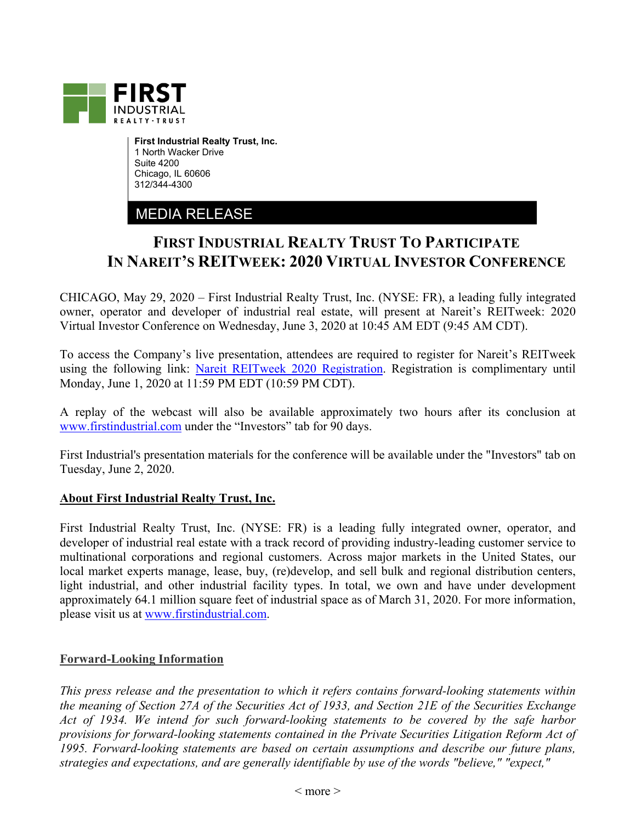

**First Industrial Realty Trust, Inc.**  1 North Wacker Drive Suite 4200 Chicago, IL 60606 312/344-4300

## MEDIA RELEASE

## **FIRST INDUSTRIAL REALTY TRUST TO PARTICIPATE IN NAREIT'S REITWEEK: 2020 VIRTUAL INVESTOR CONFERENCE**

CHICAGO, May 29, 2020 – First Industrial Realty Trust, Inc. (NYSE: FR), a leading fully integrated owner, operator and developer of industrial real estate, will present at Nareit's REITweek: 2020 Virtual Investor Conference on Wednesday, June 3, 2020 at 10:45 AM EDT (9:45 AM CDT).

To access the Company's live presentation, attendees are required to register for Nareit's REITweek using the following link: [Nareit REITweek 2020 Registration.](https://reit.cventevents.com/events/nareit-reitweek-2020-investor-conference/event-summary-78bb2c7dce374461a8a6dab3e029cc58.aspx?5S%2CM3%2C78bb2c7d-ce37-4461-a8a6-dab3e029cc58=) Registration is complimentary until Monday, June 1, 2020 at 11:59 PM EDT (10:59 PM CDT).

A replay of the webcast will also be available approximately two hours after its conclusion at www.firstindustrial.com under the "Investors" tab for 90 days.

First Industrial's presentation materials for the conference will be available under the "Investors" tab on Tuesday, June 2, 2020.

## **About First Industrial Realty Trust, Inc.**

First Industrial Realty Trust, Inc. (NYSE: FR) is a leading fully integrated owner, operator, and developer of industrial real estate with a track record of providing industry-leading customer service to multinational corporations and regional customers. Across major markets in the United States, our local market experts manage, lease, buy, (re)develop, and sell bulk and regional distribution centers, light industrial, and other industrial facility types. In total, we own and have under development approximately 64.1 million square feet of industrial space as of March 31, 2020. For more information, please visit us at www.firstindustrial.com.

## **Forward-Looking Information**

*This press release and the presentation to which it refers contains forward-looking statements within the meaning of Section 27A of the Securities Act of 1933, and Section 21E of the Securities Exchange Act of 1934. We intend for such forward-looking statements to be covered by the safe harbor provisions for forward-looking statements contained in the Private Securities Litigation Reform Act of 1995. Forward-looking statements are based on certain assumptions and describe our future plans, strategies and expectations, and are generally identifiable by use of the words "believe," "expect,"*